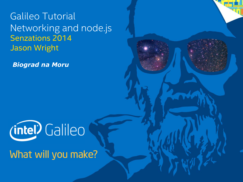Galileo Tutorial Networking and node.js Senzations 2014 Jason Wright

*Biograd na Moru*



What will you make?

1 Galileo Tutorial – I/Os, Sensing and Actuation WHAT WILL YOU MAKE?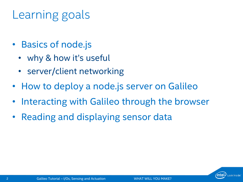# Learning goals

- Basics of node.js
	- why & how it's useful
	- server/client networking
- How to deploy a node.js server on Galileo
- Interacting with Galileo through the browser
- Reading and displaying sensor data

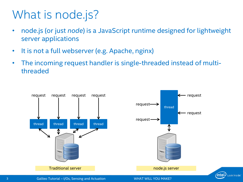# What is node.js?

- node.js (or just *node*) is a JavaScript runtime designed for lightweight server applications
- It is not a full webserver (e.g. Apache, nginx)
- The incoming request handler is single-threaded instead of multithreaded

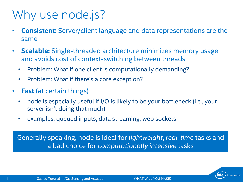# Why use node.js?

- **Consistent:** Server/client language and data representations are the same
- **Scalable:** Single-threaded architecture minimizes memory usage and avoids cost of context-switching between threads
	- Problem: What if one client is computationally demanding?
	- Problem: What if there's a core exception?
- **Fast** (at certain things)
	- node is especially useful if I/O is likely to be your bottleneck (i.e., your server isn't doing that much)
	- examples: queued inputs, data streaming, web sockets

Generally speaking, node is ideal for *lightweight*, *real-time* tasks and a bad choice for *computationally intensive* tasks

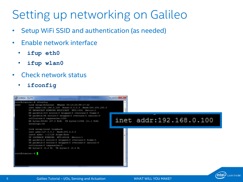# Setting up networking on Galileo

- Setup WiFi SSID and authentication (as needed)
- Enable network interface
	- **ifup eth0**
	- **ifup wlan0**
- Check network status
	- **ifconfig**

| COM14 - PuTTY |                                                                                                                                                                                                                                                                                                                                                                                                                   | e |                         |
|---------------|-------------------------------------------------------------------------------------------------------------------------------------------------------------------------------------------------------------------------------------------------------------------------------------------------------------------------------------------------------------------------------------------------------------------|---|-------------------------|
| leth0         | root@clanton:~# ifconfig<br>Link encap:Ethernet HWaddr 00:13:20:FF:17:32<br>inet addr:192.168.0.100 Bcast:0.0.0.0 Mask:255.255.255.0<br>UP BROADCAST RUNNING MULTICAST MTU:1500 Metric:1<br>RX packets:213 errors:0 dropped:4 overruns:0 frame:0<br>TX packets:86 errors:0 dropped:0 overruns:0 carrier:0<br>collisions:0 txqueuelen:1000<br>RX bytes:69184 (67.5 KiB) TX bytes:11386 (11.1 KiB)<br>Interrupt: 40 |   |                         |
|               |                                                                                                                                                                                                                                                                                                                                                                                                                   |   | inet addr:192.168.0.100 |
| 116           | Link encap:Local Loopback<br>inet addr:127.0.0.1 Mask:255.0.0.0<br>inet6 addr: :: 1/128 Scope: Host<br>UP LOOPBACK RUNNING MTU: 65536 Metric:1<br>RX packets:0 errors:0 dropped:0 overruns:0 frame:0<br>TX packets:0 errors:0 dropped:0 overruns:0 carrier:0<br>collisions:0 txqueuelen:0<br>RX bytes:0 (0.0 B) TX bytes:0 (0.0 B)<br>root@clanton:~#                                                             |   |                         |
|               |                                                                                                                                                                                                                                                                                                                                                                                                                   |   |                         |

5 Galileo Tutorial – I/Os, Sensing and Actuation WHAT WILL YOU MAKE?

 $($ intel $)$  Look Inside.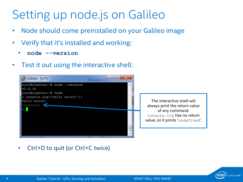- Node should come preinstalled on your Galileo image
- Verify that it's installed and working:
	- **node --version**
- Test it out using the interactive shell:



The interactive shell will always print the return value of any command. console.log has no return value, so it prints 'undefined'.

• Ctrl+D to quit (or Ctrl+C twice)

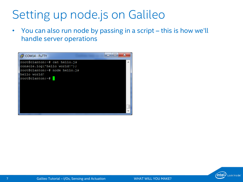• You can also run node by passing in a script – this is how we'll handle server operations



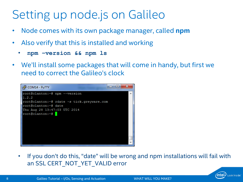- Node comes with its own package manager, called **npm**
- Also verify that this is installed and working
	- **npm –version && npm ls**
- We'll install some packages that will come in handy, but first we need to correct the Galileo's clock



If you don't do this, "date" will be wrong and npm installations will fail with an SSL CERT\_NOT\_YET\_VALID error

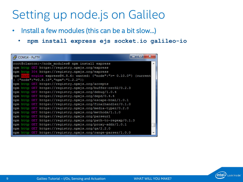- Install a few modules (this can be a bit slow…)
	- **npm install express ejs socket.io galileo-io**



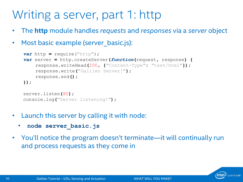# Writing a server, part 1: http

- The **http** module handles *requests* and *responses* via a *server* object
- Most basic example (server\_basic.js):

```
var http = require("http");
var server = http.createServer(function(request, response) {
    response.writeHead(200, {"Content-Type": "text/html"});
    response.write("Galileo Server!");
    response.end();
});
server.listen(80);
console.log("Server listening!");
```
- Launch this server by calling it with node:
	- node server basic.js
- You'll notice the program doesn't terminate—it will continually run and process requests as they come in

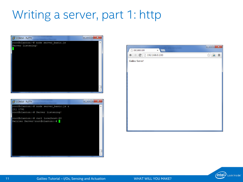# Writing a server, part 1: http







 $($ intel $)$  Look Inside: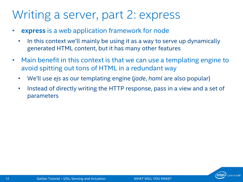# Writing a server, part 2: express

- **express** is a web application framework for node
	- In this context we'll mainly be using it as a way to serve up dynamically generated HTML content, but it has many other features
- Main benefit in this context is that we can use a templating engine to avoid spitting out tons of HTML in a redundant way
	- We'll use *ejs* as our templating engine (*jade*, *haml* are also popular)
	- Instead of directly writing the HTTP response, pass in a view and a set of parameters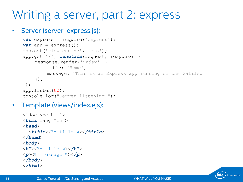#### Writing a server, part 2: express

#### • Server (server\_express.js):

```
var express = require('express');
var app = express();
app.set('view engine', 'ejs');
app.get('/', function(request, response) {
    response.render('index', {
        title: 'Home',
        message: 'This is an Express app running on the Galileo'
    });
});
app.listen(80);
console.log("Server listening!");
```
#### • Template (views/index.ejs):

```
<!doctype html>
<html lang="en">
<head>
   <title><%= title %></title>
</head>
<body>
<h1><%= title %></h1>
\langle p \rangle \langle \hat{z}^* = \text{message } \hat{z} \rangle \langle p \rangle</body>
</html>
```
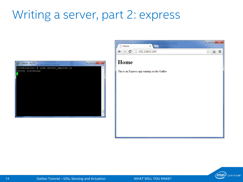# Writing a server, part 2: express



| $\Box$ Home<br>$\times$                       | $\mathbf{x}$<br>o<br>$\blacksquare$ |
|-----------------------------------------------|-------------------------------------|
| $\leftarrow$ $\rightarrow$ C' 192.168.0.100   | $\mathcal{B}$<br>☆<br>$\equiv$      |
| Home                                          |                                     |
| This is an Express app running on the Galileo |                                     |
|                                               |                                     |
|                                               |                                     |
|                                               |                                     |
|                                               |                                     |
|                                               |                                     |
|                                               |                                     |
|                                               |                                     |
|                                               |                                     |

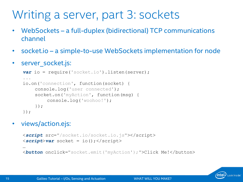# Writing a server, part 3: sockets

- WebSockets a full-duplex (bidirectional) TCP communications channel
- socket.io a simple-to-use WebSockets implementation for node
- server socket.js:

```
var io = require('socket.io').listen(server);
...
io.on('connection', function(socket) {
    console.log('user connected');
    socket.on('myAction', function(msg) {
        console.log('woohoo!');
    });
});
```
• views/action.ejs:

```
<script src="/socket.io/socket.io.js"></script>
<script>var socket = io();</script>
…
<button onclick="socket.emit('myAction');">Click Me!</button>
```
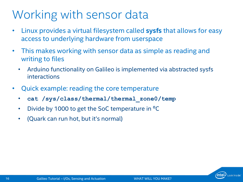# Working with sensor data

- Linux provides a virtual filesystem called **sysfs** that allows for easy access to underlying hardware from userspace
- This makes working with sensor data as simple as reading and writing to files
	- Arduino functionality on Galileo is implemented via abstracted sysfs interactions
- Quick example: reading the core temperature
	- **cat /sys/class/thermal/thermal\_zone0/temp**
	- Divide by 1000 to get the SoC temperature in  $^{\circ}$ C
	- (Quark can run hot, but it's normal)

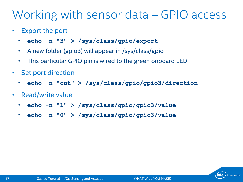# Working with sensor data – GPIO access

- Export the port
	- **echo -n "3" > /sys/class/gpio/export**
	- A new folder (gpio3) will appear in /sys/class/gpio
	- This particular GPIO pin is wired to the green onboard LED
- Set port direction
	- **echo -n "out" > /sys/class/gpio/gpio3/direction**
- Read/write value
	- **echo -n "1" > /sys/class/gpio/gpio3/value**
	- **echo -n "0" > /sys/class/gpio/gpio3/value**

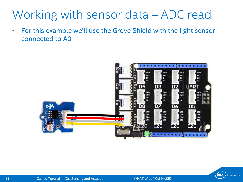# Working with sensor data – ADC read

• For this example we'll use the Grove Shield with the light sensor connected to A0



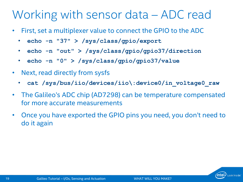## Working with sensor data – ADC read

- First, set a multiplexer value to connect the GPIO to the ADC
	- **echo -n "37" > /sys/class/gpio/export**
	- **echo -n "out" > /sys/class/gpio/gpio37/direction**
	- **echo -n "0" > /sys/class/gpio/gpio37/value**
- Next, read directly from sysfs
	- **cat /sys/bus/iio/devices/iio\:device0/in\_voltage0\_raw**
- The Galileo's ADC chip (AD7298) can be temperature compensated for more accurate measurements
- Once you have exported the GPIO pins you need, you don't need to do it again

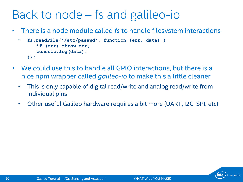# Back to node – fs and galileo-io

• There is a node module called *fs* to handle filesystem interactions

```
• fs.readFile('/etc/passwd', function (err, data) {
      if (err) throw err; 
      console.log(data); 
   });
```
- We could use this to handle all GPIO interactions, but there is a nice npm wrapper called *galileo-io* to make this a little cleaner
	- This is only capable of digital read/write and analog read/write from individual pins
	- Other useful Galileo hardware requires a bit more (UART, I2C, SPI, etc)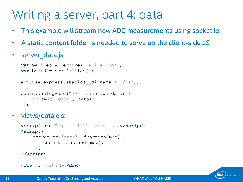#### Writing a server, part 4: data

- This example will stream new ADC measurements using socket.io
- A static content folder is needed to serve up the client-side JS
- server data.js:

```
var Galileo = require('galileo-io');
var board = new Galileo();
app.use(express.static( dirname + '/js'));
...
board.analogRead("A0", function(data) {
    io.emit('data', data);
});
```
• views/data.ejs:

```
<script src="jquery-1.11.1.min.js"></script>
<script>
    socket.on('data', function(msg) {
        $('#data').text(msg);
    });
</script>
...
<div id="data"></div>
```
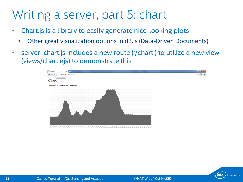# Writing a server, part 5: chart

- Chart.js is a library to easily generate nice-looking plots
	- Other great visualization options in d3.js (Data-Driven Documents)
- server\_chart.js includes a new route ('/chart') to utilize a new view (views/chart.ejs) to demonstrate this



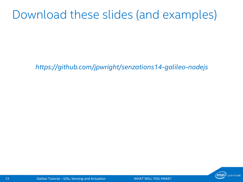# Download these slides (and examples)

*https://github.com/jpwright/senzations14-galileo-nodejs*

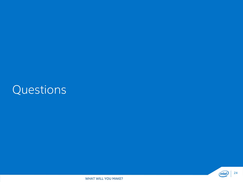#### Questions



24 Galileo Tutorial – I/Os, Sensing and Actuation WHAT WILL YOU MAKE?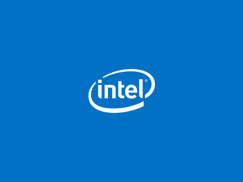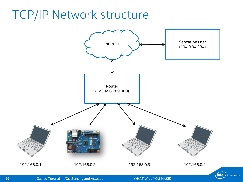#### TCP/IP Network structure

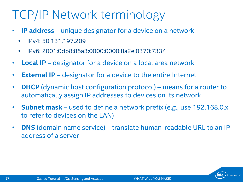# TCP/IP Network terminology

- **IP address** unique designator for a device on a network
	- IPv4: 50.131.197.209
	- IPv6: 2001:0db8:85a3:0000:0000:8a2e:0370:7334
- **Local IP**  designator for a device on a local area network
- **External IP** designator for a device to the entire Internet
- **DHCP** (dynamic host configuration protocol) means for a router to automatically assign IP addresses to devices on its network
- **Subnet mask** used to define a network prefix (e.g., use 192.168.0.x to refer to devices on the LAN)
- **DNS** (domain name service) translate human-readable URL to an IP address of a server

![](_page_26_Picture_9.jpeg)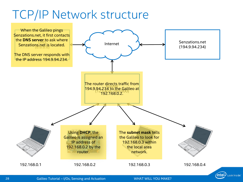#### TCP/IP Network structure

![](_page_27_Figure_1.jpeg)

28 Galileo Tutorial – I/Os, Sensing and Actuation WHAT WILL YOU MAKE?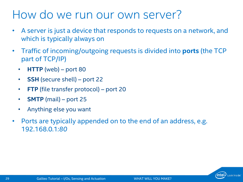#### How do we run our own server?

- A server is just a device that responds to requests on a network, and which is typically always on
- Traffic of incoming/outgoing requests is divided into **ports** (the TCP part of TCP/IP)
	- **HTTP** (web) port 80
	- **SSH** (secure shell) port 22
	- **FTP** (file transfer protocol) port 20
	- **SMTP** (mail) port 25
	- Anything else you want
- Ports are typically appended on to the end of an address, e.g. 192.168.0.1*:80*

![](_page_28_Picture_9.jpeg)